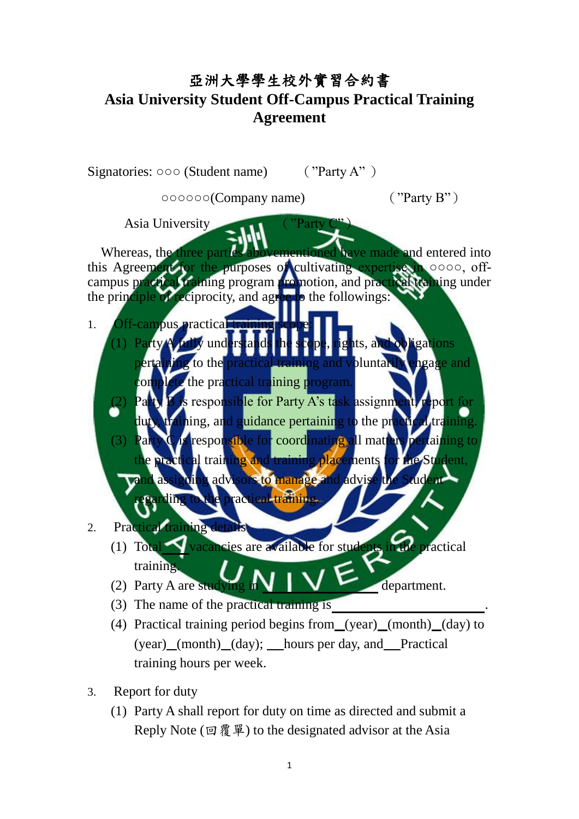## 亞洲大學學生校外實習合約書 **Asia University Student Off-Campus Practical Training Agreement**

|     | Signatories: $000$ (Student name)                                         | ("Party A") |                                           |
|-----|---------------------------------------------------------------------------|-------------|-------------------------------------------|
|     | 000000(Company name)                                                      |             | ("Party B")                               |
|     | Asia University<br>Whereas, the three partic                              | Party       | abovementioned have made and entered into |
|     | this Agreement for the purposes of cultivating expertise in 0000, off-    |             |                                           |
|     | campus practical training program promotion, and practical training under |             |                                           |
|     | the principle of reciprocity, and agree to the followings:                |             |                                           |
| 1.  | Off-campus practical training s<br>(1) Party A fully understand           |             | ights, and obligations                    |
|     | pertaining to the practical training and voluntarily engage and           |             |                                           |
|     | complete the practical training program.                                  |             |                                           |
|     | Party B is responsible for Party A's task assignment, report for          |             |                                           |
|     | duty, training, and guidance pertaining to the practical training.        |             |                                           |
|     | (3) Party C is responsible for coordinating all matters pertaining to     |             |                                           |
|     | the practical training and training placements for the Student,           |             |                                           |
|     | and assigning advisors to manage and advise the Student                   |             |                                           |
|     | Barding to the practical training.                                        |             |                                           |
|     |                                                                           |             |                                           |
| 2.  | <b>Practical training details</b>                                         |             |                                           |
|     | (1) Total vacancies are available for students in the practical           |             |                                           |
|     | training.                                                                 |             |                                           |
|     | (2) Party A are studying                                                  |             | department.                               |
| (3) | The name of the practical training is                                     |             |                                           |
| (4) | Practical training period begins from (year) (month) (day) to             |             |                                           |
|     | (year) (month) (day); hours per day, and Practical                        |             |                                           |
|     | training hours per week.                                                  |             |                                           |
|     |                                                                           |             |                                           |

- 3. Report for duty
	- (1) Party A shall report for duty on time as directed and submit a Reply Note (回覆單) to the designated advisor at the Asia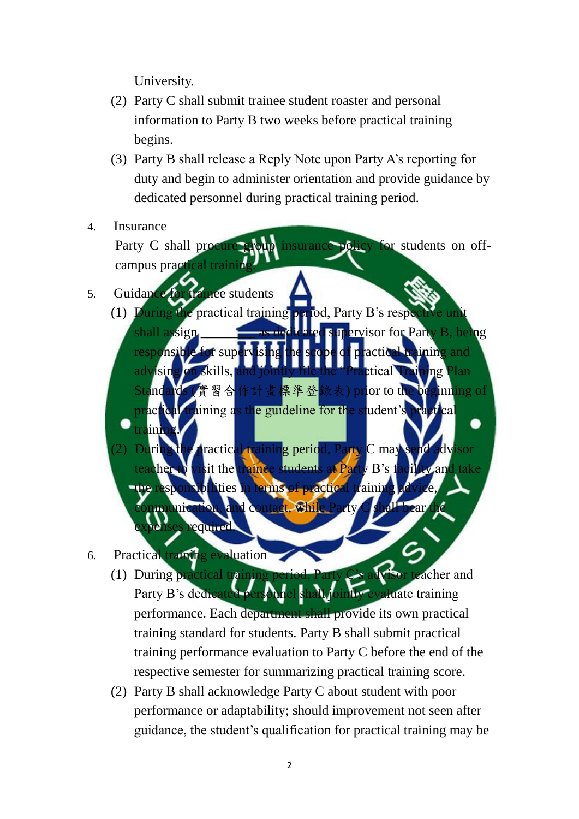University.

- (2) Party C shall submit trainee student roaster and personal information to Party B two weeks before practical training begins.
- (3) Party B shall release a Reply Note upon Party A's reporting for duty and begin to administer orientation and provide guidance by dedicated personnel during practical training period.
- 4. Insurance Party C shall procure group insurance policy for students on offcampus practical trai

5. Guidance for trainee students

- (1) During the practical training period, Party B's respe ervisor for Party B, be responsible for supervising the scope of practical training and advising on skills, and jointly file the "Practical Training Plan 習合作計書標準登錄表) prior to th actical training as the guideline for the student's pra training.
	- ractical training period, Party C may sit the trainee students at Party B's facility and take bilities in terms of practical training d contact. While equired
- 6. Practical training evaluation
	- (1) During practical training period, Party C's advisor teacher and Party B's dedicated personnel shall jointly evaluate training performance. Each department shall provide its own practical training standard for students. Party B shall submit practical training performance evaluation to Party C before the end of the respective semester for summarizing practical training score.
	- (2) Party B shall acknowledge Party C about student with poor performance or adaptability; should improvement not seen after guidance, the student's qualification for practical training may be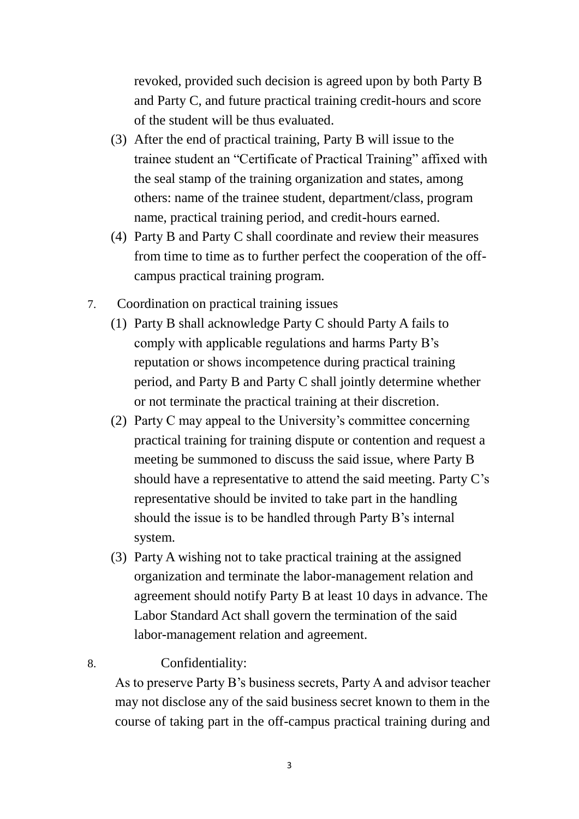revoked, provided such decision is agreed upon by both Party B and Party C, and future practical training credit-hours and score of the student will be thus evaluated.

- (3) After the end of practical training, Party B will issue to the trainee student an "Certificate of Practical Training" affixed with the seal stamp of the training organization and states, among others: name of the trainee student, department/class, program name, practical training period, and credit-hours earned.
- (4) Party B and Party C shall coordinate and review their measures from time to time as to further perfect the cooperation of the offcampus practical training program.
- 7. Coordination on practical training issues
	- (1) Party B shall acknowledge Party C should Party A fails to comply with applicable regulations and harms Party B's reputation or shows incompetence during practical training period, and Party B and Party C shall jointly determine whether or not terminate the practical training at their discretion.
	- (2) Party C may appeal to the University's committee concerning practical training for training dispute or contention and request a meeting be summoned to discuss the said issue, where Party B should have a representative to attend the said meeting. Party C's representative should be invited to take part in the handling should the issue is to be handled through Party B's internal system.
	- (3) Party A wishing not to take practical training at the assigned organization and terminate the labor-management relation and agreement should notify Party B at least 10 days in advance. The Labor Standard Act shall govern the termination of the said labor-management relation and agreement.

## 8. Confidentiality:

As to preserve Party B's business secrets, Party A and advisor teacher may not disclose any of the said business secret known to them in the course of taking part in the off-campus practical training during and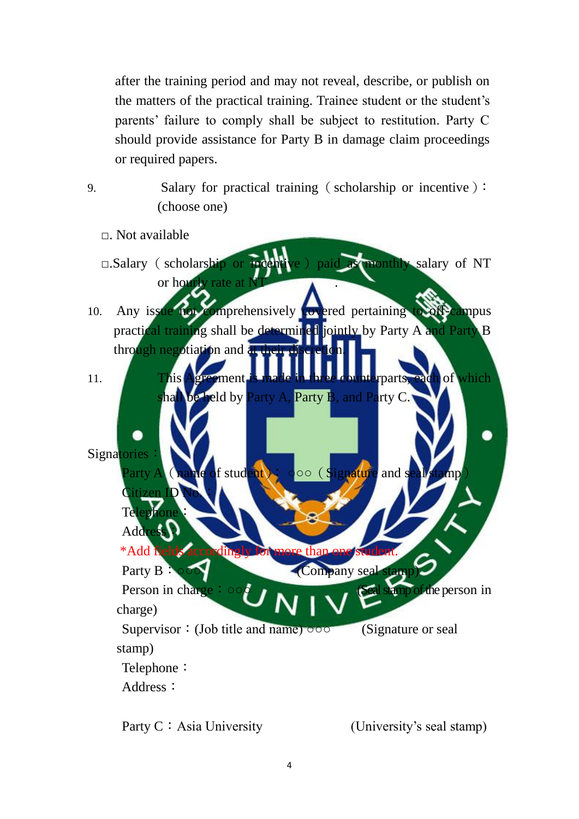after the training period and may not reveal, describe, or publish on the matters of the practical training. Trainee student or the student's parents' failure to comply shall be subject to restitution. Party C should provide assistance for Party B in damage claim proceedings or required papers.

9. Salary for practical training (scholarship or incentive): (choose one)

- $\Box$ . Not available
- □.Salary (scholarship or incentive) paid as monthly salary of NT or hourly rate at
- 10. Any issue not comprehensively covered pertaining to off-campus practical training shall be determined jointly by Party A and Party B through negotiation and a
- 11. This Agreement is made in three counterparts, each of which be held by Party A, Party B, and Party C.

Signatories Party A (name of student): **OOO** (Signature and seal stamp)

Telephone: Add \*Add fields accordingly Party B: 000 (Company seal stam Person in charge: ○○○ (Seal stamp of the person in charge) Supervisor: (Job title and name) **o** o o (Signature or seal) stamp) Telephone: Address:

Party C: Asia University (University's seal stamp)

Citizen ID No.